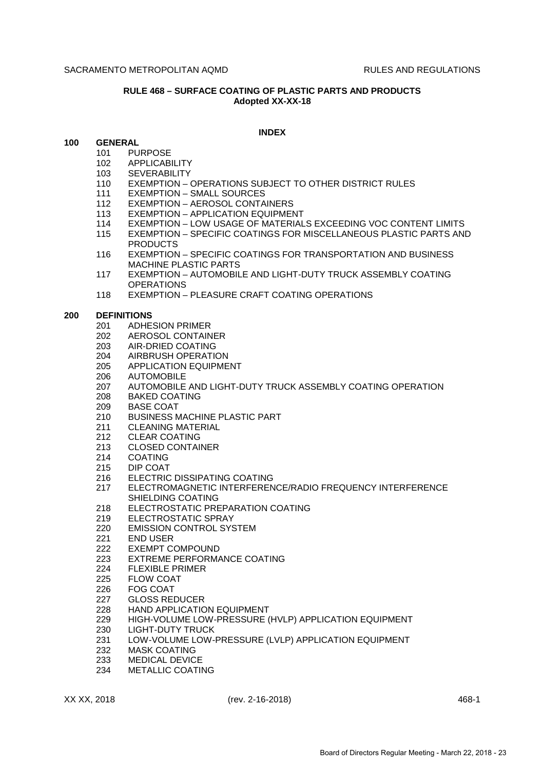# **RULE 468 – SURFACE COATING OF PLASTIC PARTS AND PRODUCTS Adopted XX-XX-18**

### **INDEX**

# **100 GENERAL**

- 101 PURPOSE
- 102 APPLICABILITY
- 103 SEVERABILITY
- 110 EXEMPTION OPERATIONS SUBJECT TO OTHER DISTRICT RULES
- 111 EXEMPTION SMALL SOURCES
- 112 EXEMPTION AEROSOL CONTAINERS
- 113 EXEMPTION APPLICATION EQUIPMENT
- 114 EXEMPTION LOW USAGE OF MATERIALS EXCEEDING VOC CONTENT LIMITS
- 115 EXEMPTION SPECIFIC COATINGS FOR MISCELLANEOUS PLASTIC PARTS AND PRODUCTS
- 116 EXEMPTION SPECIFIC COATINGS FOR TRANSPORTATION AND BUSINESS MACHINE PLASTIC PARTS
- 117 EXEMPTION AUTOMOBILE AND LIGHT-DUTY TRUCK ASSEMBLY COATING **OPERATIONS**
- 118 EXEMPTION PLEASURE CRAFT COATING OPERATIONS

#### **200 DEFINITIONS**

- 201 ADHESION PRIMER
- 202 AEROSOL CONTAINER
- 203 AIR-DRIED COATING
- 204 AIRBRUSH OPERATION
- 205 APPLICATION EQUIPMENT
- 206 AUTOMOBILE
- 207 AUTOMOBILE AND LIGHT-DUTY TRUCK ASSEMBLY COATING OPERATION
- 208 BAKED COATING
- 209 BASE COAT
- 210 BUSINESS MACHINE PLASTIC PART
- 211 CLEANING MATERIAL
- 212 CLEAR COATING
- 213 CLOSED CONTAINER
- 214 COATING
- 215 DIP COAT<br>216 FLECTRIC
- 216 ELECTRIC DISSIPATING COATING
- 217 ELECTROMAGNETIC INTERFERENCE/RADIO FREQUENCY INTERFERENCE SHIELDING COATING
- 218 ELECTROSTATIC PREPARATION COATING
- 219 ELECTROSTATIC SPRAY
- 220 EMISSION CONTROL SYSTEM
- 221 END USER
- 222 EXEMPT COMPOUND
- 223 EXTREME PERFORMANCE COATING
- 224 FLEXIBLE PRIMER
- 225 FLOW COAT
- 226 FOG COAT
- 227 GLOSS REDUCER
- 228 HAND APPLICATION EQUIPMENT
- 229 HIGH-VOLUME LOW-PRESSURE (HVLP) APPLICATION EQUIPMENT
- 230 LIGHT-DUTY TRUCK
- 231 LOW-VOLUME LOW-PRESSURE (LVLP) APPLICATION EQUIPMENT
- 232 MASK COATING
- 233 MEDICAL DEVICE
- 234 METALLIC COATING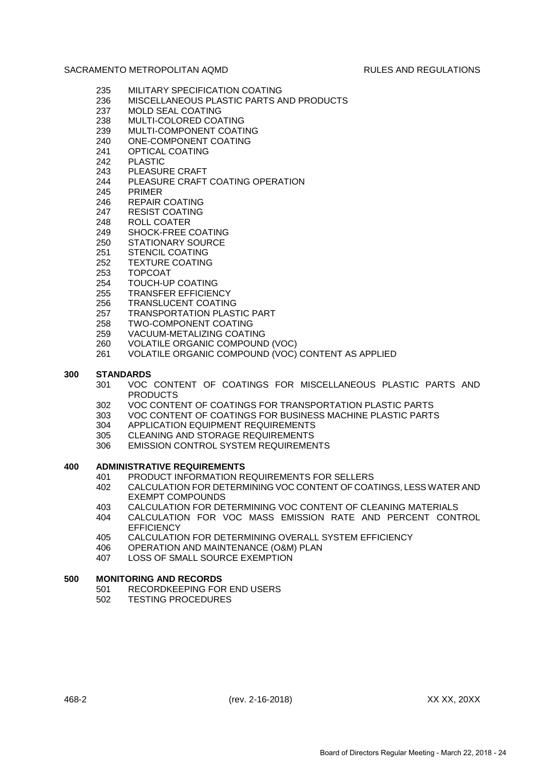- 235 MILITARY SPECIFICATION COATING
- 236 MISCELLANEOUS PLASTIC PARTS AND PRODUCTS
- 237 MOLD SEAL COATING
- 238 MULTI-COLORED COATING
- 239 MULTI-COMPONENT COATING
- 240 ONE-COMPONENT COATING
- 241 OPTICAL COATING
- 242 PLASTIC
- 243 PLEASURE CRAFT
- 244 PLEASURE CRAFT COATING OPERATION
- 245 PRIMER
- 246 REPAIR COATING
- 247 RESIST COATING
- 248 ROLL COATER
- 249 SHOCK-FREE COATING
- 250 STATIONARY SOURCE
- 
- 251 STENCIL COATING<br>252 TEXTURE COATING **TEXTURE COATING**
- 253 TOPCOAT
- 254 TOUCH-UP COATING
- 255 TRANSFER EFFICIENCY
- 256 TRANSLUCENT COATING
- 257 TRANSPORTATION PLASTIC PART
- 258 TWO-COMPONENT COATING
- 259 VACUUM-METALIZING COATING
- 260 VOLATILE ORGANIC COMPOUND (VOC)
- 261 VOLATILE ORGANIC COMPOUND (VOC) CONTENT AS APPLIED

# **300 STANDARDS**

- 301 VOC CONTENT OF COATINGS FOR MISCELLANEOUS PLASTIC PARTS AND PRODUCTS
- 302 VOC CONTENT OF COATINGS FOR TRANSPORTATION PLASTIC PARTS
- 303 VOC CONTENT OF COATINGS FOR BUSINESS MACHINE PLASTIC PARTS
- 304 APPLICATION EQUIPMENT REQUIREMENTS
- 305 CLEANING AND STORAGE REQUIREMENTS
- 306 EMISSION CONTROL SYSTEM REQUIREMENTS

# **400 ADMINISTRATIVE REQUIREMENTS**

- 401 PRODUCT INFORMATION REQUIREMENTS FOR SELLERS
- 402 CALCULATION FOR DETERMINING VOC CONTENT OF COATINGS, LESS WATER AND EXEMPT COMPOUNDS
- 403 CALCULATION FOR DETERMINING VOC CONTENT OF CLEANING MATERIALS
- 404 CALCULATION FOR VOC MASS EMISSION RATE AND PERCENT CONTROL **EFFICIENCY**
- 405 CALCULATION FOR DETERMINING OVERALL SYSTEM EFFICIENCY
- 406 OPERATION AND MAINTENANCE (O&M) PLAN
- 407 LOSS OF SMALL SOURCE EXEMPTION

# **500 MONITORING AND RECORDS**

- 501 RECORDKEEPING FOR END USERS
- 502 TESTING PROCEDURES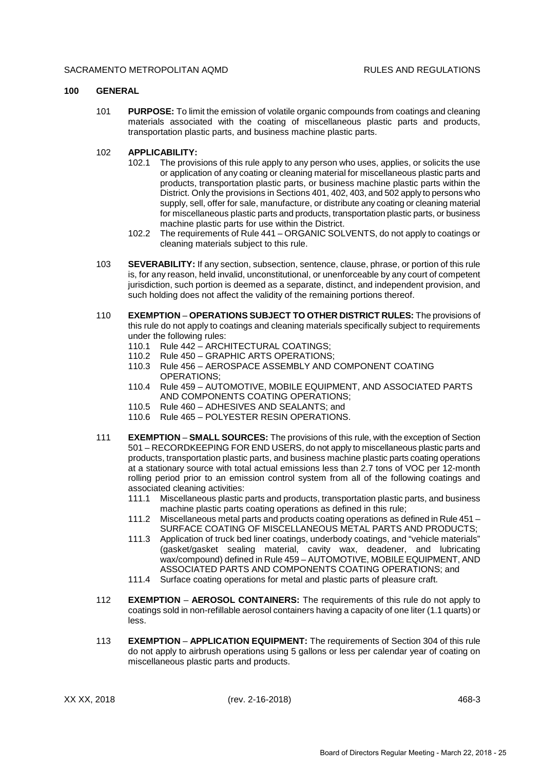### **100 GENERAL**

101 **PURPOSE:** To limit the emission of volatile organic compounds from coatings and cleaning materials associated with the coating of miscellaneous plastic parts and products, transportation plastic parts, and business machine plastic parts.

## 102 **APPLICABILITY:**

- 102.1 The provisions of this rule apply to any person who uses, applies, or solicits the use or application of any coating or cleaning material for miscellaneous plastic parts and products, transportation plastic parts, or business machine plastic parts within the District. Only the provisions in Sections 401, 402, 403, and 502 apply to persons who supply, sell, offer for sale, manufacture, or distribute any coating or cleaning material for miscellaneous plastic parts and products, transportation plastic parts, or business machine plastic parts for use within the District.
- 102.2 The requirements of Rule 441 ORGANIC SOLVENTS, do not apply to coatings or cleaning materials subject to this rule.
- 103 **SEVERABILITY:** If any section, subsection, sentence, clause, phrase, or portion of this rule is, for any reason, held invalid, unconstitutional, or unenforceable by any court of competent jurisdiction, such portion is deemed as a separate, distinct, and independent provision, and such holding does not affect the validity of the remaining portions thereof.
- 110 **EXEMPTION OPERATIONS SUBJECT TO OTHER DISTRICT RULES:** The provisions of this rule do not apply to coatings and cleaning materials specifically subject to requirements under the following rules:
	- 110.1 Rule 442 ARCHITECTURAL COATINGS;
	- 110.2 Rule 450 GRAPHIC ARTS OPERATIONS;
	- 110.3 Rule 456 AEROSPACE ASSEMBLY AND COMPONENT COATING OPERATIONS;
	- 110.4 Rule 459 AUTOMOTIVE, MOBILE EQUIPMENT, AND ASSOCIATED PARTS AND COMPONENTS COATING OPERATIONS;
	- 110.5 Rule 460 ADHESIVES AND SEALANTS; and
	- 110.6 Rule 465 POLYESTER RESIN OPERATIONS.
- 111 **EXEMPTION SMALL SOURCES:** The provisions of this rule, with the exception of Section 501 – RECORDKEEPING FOR END USERS, do not apply to miscellaneous plastic parts and products, transportation plastic parts, and business machine plastic parts coating operations at a stationary source with total actual emissions less than 2.7 tons of VOC per 12-month rolling period prior to an emission control system from all of the following coatings and associated cleaning activities:
	- 111.1 Miscellaneous plastic parts and products, transportation plastic parts, and business machine plastic parts coating operations as defined in this rule;
	- 111.2 Miscellaneous metal parts and products coating operations as defined in Rule 451 SURFACE COATING OF MISCELLANEOUS METAL PARTS AND PRODUCTS;
	- 111.3 Application of truck bed liner coatings, underbody coatings, and "vehicle materials" (gasket/gasket sealing material, cavity wax, deadener, and lubricating wax/compound) defined in Rule 459 – AUTOMOTIVE, MOBILE EQUIPMENT, AND ASSOCIATED PARTS AND COMPONENTS COATING OPERATIONS; and
	- 111.4 Surface coating operations for metal and plastic parts of pleasure craft.
- 112 **EXEMPTION AEROSOL CONTAINERS:** The requirements of this rule do not apply to coatings sold in non-refillable aerosol containers having a capacity of one liter (1.1 quarts) or less.
- 113 **EXEMPTION APPLICATION EQUIPMENT:** The requirements of Section 304 of this rule do not apply to airbrush operations using 5 gallons or less per calendar year of coating on miscellaneous plastic parts and products.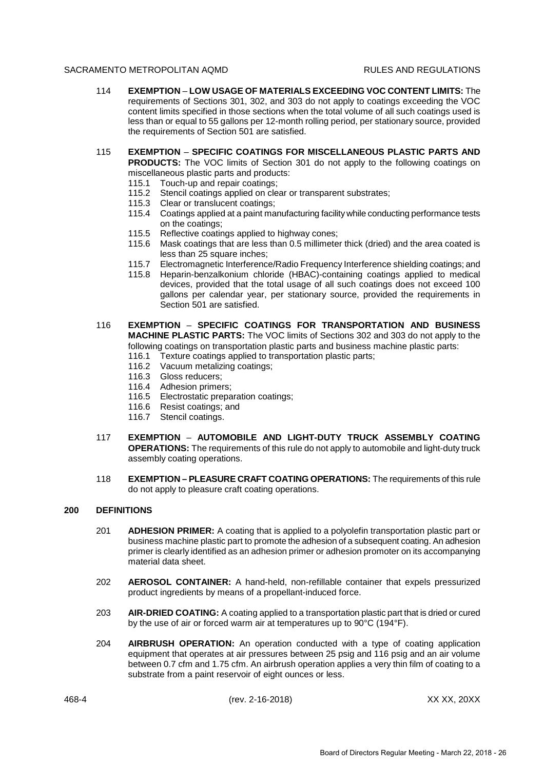- 114 **EXEMPTION LOW USAGE OF MATERIALS EXCEEDING VOC CONTENT LIMITS:** The requirements of Sections 301, 302, and 303 do not apply to coatings exceeding the VOC content limits specified in those sections when the total volume of all such coatings used is less than or equal to 55 gallons per 12-month rolling period, per stationary source, provided the requirements of Section 501 are satisfied.
- 115 **EXEMPTION SPECIFIC COATINGS FOR MISCELLANEOUS PLASTIC PARTS AND PRODUCTS:** The VOC limits of Section 301 do not apply to the following coatings on miscellaneous plastic parts and products:
	- 115.1 Touch-up and repair coatings;
	- 115.2 Stencil coatings applied on clear or transparent substrates;
	- 115.3 Clear or translucent coatings;
	- 115.4 Coatings applied at a paint manufacturing facility while conducting performance tests on the coatings;
	- 115.5 Reflective coatings applied to highway cones;
	- 115.6 Mask coatings that are less than 0.5 millimeter thick (dried) and the area coated is less than 25 square inches:
	- 115.7 Electromagnetic Interference/Radio Frequency Interference shielding coatings; and
	- 115.8 Heparin-benzalkonium chloride (HBAC)-containing coatings applied to medical devices, provided that the total usage of all such coatings does not exceed 100 gallons per calendar year, per stationary source, provided the requirements in Section 501 are satisfied.
- 116 **EXEMPTION SPECIFIC COATINGS FOR TRANSPORTATION AND BUSINESS MACHINE PLASTIC PARTS:** The VOC limits of Sections 302 and 303 do not apply to the following coatings on transportation plastic parts and business machine plastic parts:
	- 116.1 Texture coatings applied to transportation plastic parts;
	- 116.2 Vacuum metalizing coatings;
	- 116.3 Gloss reducers;
	- 116.4 Adhesion primers;
	- 116.5 Electrostatic preparation coatings;
	- 116.6 Resist coatings; and
	- 116.7 Stencil coatings.
- 117 **EXEMPTION AUTOMOBILE AND LIGHT-DUTY TRUCK ASSEMBLY COATING OPERATIONS:** The requirements of this rule do not apply to automobile and light-duty truck assembly coating operations.
- 118 **EXEMPTION PLEASURE CRAFT COATING OPERATIONS:** The requirements of this rule do not apply to pleasure craft coating operations.

# **200 DEFINITIONS**

- 201 **ADHESION PRIMER:** A coating that is applied to a polyolefin transportation plastic part or business machine plastic part to promote the adhesion of a subsequent coating. An adhesion primer is clearly identified as an adhesion primer or adhesion promoter on its accompanying material data sheet.
- 202 **AEROSOL CONTAINER:** A hand-held, non-refillable container that expels pressurized product ingredients by means of a propellant-induced force.
- 203 **AIR-DRIED COATING:** A coating applied to a transportation plastic part that is dried or cured by the use of air or forced warm air at temperatures up to 90°C (194°F).
- 204 **AIRBRUSH OPERATION:** An operation conducted with a type of coating application equipment that operates at air pressures between 25 psig and 116 psig and an air volume between 0.7 cfm and 1.75 cfm. An airbrush operation applies a very thin film of coating to a substrate from a paint reservoir of eight ounces or less.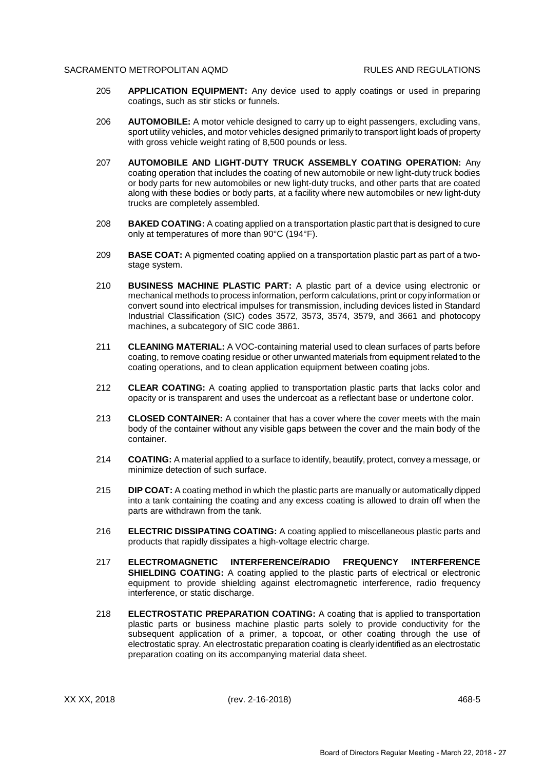- 205 **APPLICATION EQUIPMENT:** Any device used to apply coatings or used in preparing coatings, such as stir sticks or funnels.
- 206 **AUTOMOBILE:** A motor vehicle designed to carry up to eight passengers, excluding vans, sport utility vehicles, and motor vehicles designed primarily to transport light loads of property with gross vehicle weight rating of 8,500 pounds or less.
- 207 **AUTOMOBILE AND LIGHT-DUTY TRUCK ASSEMBLY COATING OPERATION:** Any coating operation that includes the coating of new automobile or new light-duty truck bodies or body parts for new automobiles or new light-duty trucks, and other parts that are coated along with these bodies or body parts, at a facility where new automobiles or new light-duty trucks are completely assembled.
- 208 **BAKED COATING:** A coating applied on a transportation plastic part that is designed to cure only at temperatures of more than 90°C (194°F).
- 209 **BASE COAT:** A pigmented coating applied on a transportation plastic part as part of a twostage system.
- 210 **BUSINESS MACHINE PLASTIC PART:** A plastic part of a device using electronic or mechanical methods to process information, perform calculations, print or copy information or convert sound into electrical impulses for transmission, including devices listed in Standard Industrial Classification (SIC) codes 3572, 3573, 3574, 3579, and 3661 and photocopy machines, a subcategory of SIC code 3861.
- 211 **CLEANING MATERIAL:** A VOC-containing material used to clean surfaces of parts before coating, to remove coating residue or other unwanted materials from equipment related to the coating operations, and to clean application equipment between coating jobs.
- 212 **CLEAR COATING:** A coating applied to transportation plastic parts that lacks color and opacity or is transparent and uses the undercoat as a reflectant base or undertone color.
- 213 **CLOSED CONTAINER:** A container that has a cover where the cover meets with the main body of the container without any visible gaps between the cover and the main body of the container.
- 214 **COATING:** A material applied to a surface to identify, beautify, protect, convey a message, or minimize detection of such surface.
- 215 **DIP COAT:** A coating method in which the plastic parts are manually or automatically dipped into a tank containing the coating and any excess coating is allowed to drain off when the parts are withdrawn from the tank.
- 216 **ELECTRIC DISSIPATING COATING:** A coating applied to miscellaneous plastic parts and products that rapidly dissipates a high-voltage electric charge.
- 217 **ELECTROMAGNETIC INTERFERENCE/RADIO FREQUENCY INTERFERENCE SHIELDING COATING:** A coating applied to the plastic parts of electrical or electronic equipment to provide shielding against electromagnetic interference, radio frequency interference, or static discharge.
- 218 **ELECTROSTATIC PREPARATION COATING:** A coating that is applied to transportation plastic parts or business machine plastic parts solely to provide conductivity for the subsequent application of a primer, a topcoat, or other coating through the use of electrostatic spray. An electrostatic preparation coating is clearly identified as an electrostatic preparation coating on its accompanying material data sheet.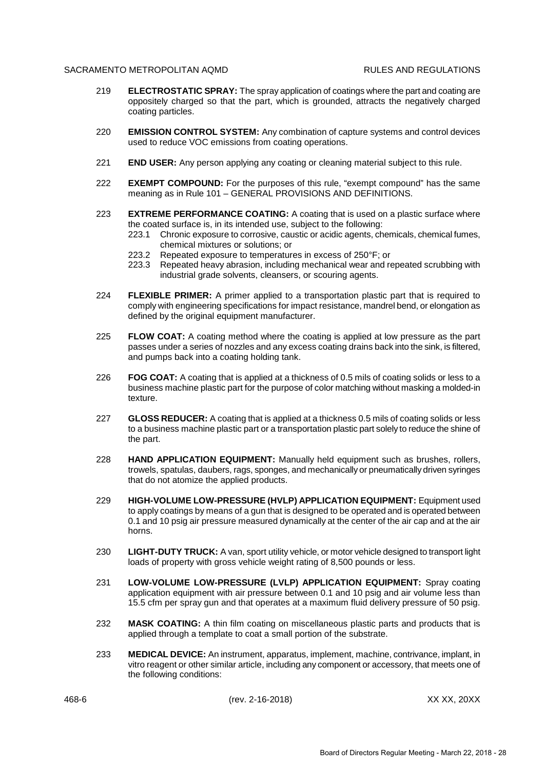- 219 **ELECTROSTATIC SPRAY:** The spray application of coatings where the part and coating are oppositely charged so that the part, which is grounded, attracts the negatively charged coating particles.
- 220 **EMISSION CONTROL SYSTEM:** Any combination of capture systems and control devices used to reduce VOC emissions from coating operations.
- 221 **END USER:** Any person applying any coating or cleaning material subject to this rule.
- 222 **EXEMPT COMPOUND:** For the purposes of this rule, "exempt compound" has the same meaning as in Rule 101 – GENERAL PROVISIONS AND DEFINITIONS.
- 223 **EXTREME PERFORMANCE COATING:** A coating that is used on a plastic surface where the coated surface is, in its intended use, subject to the following:
	- 223.1 Chronic exposure to corrosive, caustic or acidic agents, chemicals, chemical fumes, chemical mixtures or solutions; or
	- 223.2 Repeated exposure to temperatures in excess of 250°F; or 223.3 Repeated heavy abrasion, including mechanical wear and re
	- Repeated heavy abrasion, including mechanical wear and repeated scrubbing with industrial grade solvents, cleansers, or scouring agents.
- 224 **FLEXIBLE PRIMER:** A primer applied to a transportation plastic part that is required to comply with engineering specifications for impact resistance, mandrel bend, or elongation as defined by the original equipment manufacturer.
- 225 **FLOW COAT:** A coating method where the coating is applied at low pressure as the part passes under a series of nozzles and any excess coating drains back into the sink, is filtered, and pumps back into a coating holding tank.
- 226 **FOG COAT:** A coating that is applied at a thickness of 0.5 mils of coating solids or less to a business machine plastic part for the purpose of color matching without masking a molded-in texture.
- 227 **GLOSS REDUCER:** A coating that is applied at a thickness 0.5 mils of coating solids or less to a business machine plastic part or a transportation plastic part solely to reduce the shine of the part.
- 228 **HAND APPLICATION EQUIPMENT:** Manually held equipment such as brushes, rollers, trowels, spatulas, daubers, rags, sponges, and mechanically or pneumatically driven syringes that do not atomize the applied products.
- 229 **HIGH-VOLUME LOW-PRESSURE (HVLP) APPLICATION EQUIPMENT:** Equipment used to apply coatings by means of a gun that is designed to be operated and is operated between 0.1 and 10 psig air pressure measured dynamically at the center of the air cap and at the air horns.
- 230 **LIGHT-DUTY TRUCK:** A van, sport utility vehicle, or motor vehicle designed to transport light loads of property with gross vehicle weight rating of 8,500 pounds or less.
- 231 **LOW-VOLUME LOW-PRESSURE (LVLP) APPLICATION EQUIPMENT:** Spray coating application equipment with air pressure between 0.1 and 10 psig and air volume less than 15.5 cfm per spray gun and that operates at a maximum fluid delivery pressure of 50 psig.
- 232 **MASK COATING:** A thin film coating on miscellaneous plastic parts and products that is applied through a template to coat a small portion of the substrate.
- 233 **MEDICAL DEVICE:** An instrument, apparatus, implement, machine, contrivance, implant, in vitro reagent or other similar article, including any component or accessory, that meets one of the following conditions: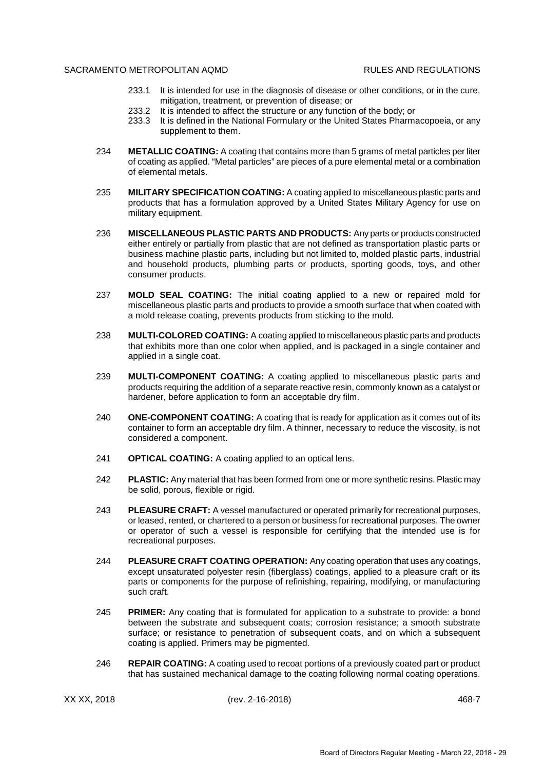- 233.1 It is intended for use in the diagnosis of disease or other conditions, or in the cure, mitigation, treatment, or prevention of disease; or
- 233.2 It is intended to affect the structure or any function of the body; or
- 233.3 It is defined in the National Formulary or the United States Pharmacopoeia, or any supplement to them.
- 234 **METALLIC COATING:** A coating that contains more than 5 grams of metal particles per liter of coating as applied. "Metal particles" are pieces of a pure elemental metal or a combination of elemental metals.
- 235 **MILITARY SPECIFICATION COATING:** A coating applied to miscellaneous plastic parts and products that has a formulation approved by a United States Military Agency for use on military equipment.
- 236 **MISCELLANEOUS PLASTIC PARTS AND PRODUCTS:** Any parts or products constructed either entirely or partially from plastic that are not defined as transportation plastic parts or business machine plastic parts, including but not limited to, molded plastic parts, industrial and household products, plumbing parts or products, sporting goods, toys, and other consumer products.
- 237 **MOLD SEAL COATING:** The initial coating applied to a new or repaired mold for miscellaneous plastic parts and products to provide a smooth surface that when coated with a mold release coating, prevents products from sticking to the mold.
- 238 **MULTI-COLORED COATING:** A coating applied to miscellaneous plastic parts and products that exhibits more than one color when applied, and is packaged in a single container and applied in a single coat.
- 239 **MULTI-COMPONENT COATING:** A coating applied to miscellaneous plastic parts and products requiring the addition of a separate reactive resin, commonly known as a catalyst or hardener, before application to form an acceptable dry film.
- 240 **ONE-COMPONENT COATING:** A coating that is ready for application as it comes out of its container to form an acceptable dry film. A thinner, necessary to reduce the viscosity, is not considered a component.
- 241 **OPTICAL COATING:** A coating applied to an optical lens.
- 242 **PLASTIC:** Any material that has been formed from one or more synthetic resins. Plastic may be solid, porous, flexible or rigid.
- 243 **PLEASURE CRAFT:** A vessel manufactured or operated primarily for recreational purposes, or leased, rented, or chartered to a person or business for recreational purposes. The owner or operator of such a vessel is responsible for certifying that the intended use is for recreational purposes.
- 244 **PLEASURE CRAFT COATING OPERATION:** Any coating operation that uses any coatings, except unsaturated polyester resin (fiberglass) coatings, applied to a pleasure craft or its parts or components for the purpose of refinishing, repairing, modifying, or manufacturing such craft.
- 245 **PRIMER:** Any coating that is formulated for application to a substrate to provide: a bond between the substrate and subsequent coats; corrosion resistance; a smooth substrate surface; or resistance to penetration of subsequent coats, and on which a subsequent coating is applied. Primers may be pigmented.
- 246 **REPAIR COATING:** A coating used to recoat portions of a previously coated part or product that has sustained mechanical damage to the coating following normal coating operations.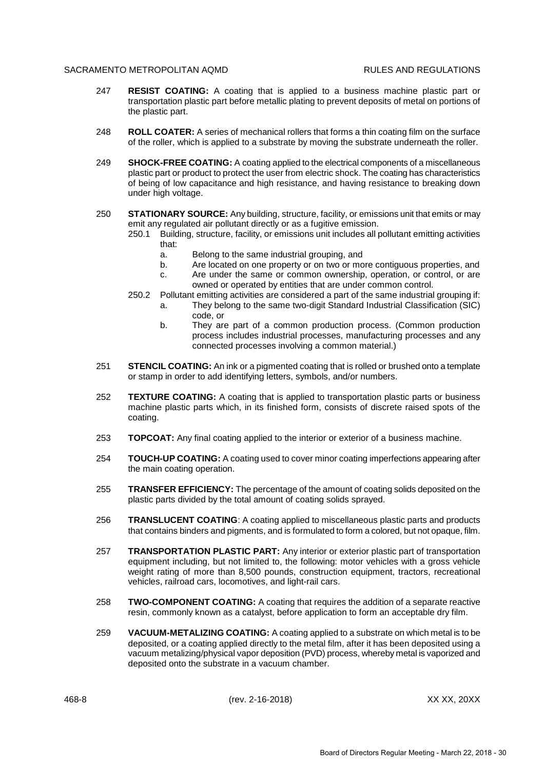- 247 **RESIST COATING:** A coating that is applied to a business machine plastic part or transportation plastic part before metallic plating to prevent deposits of metal on portions of the plastic part.
- 248 **ROLL COATER:** A series of mechanical rollers that forms a thin coating film on the surface of the roller, which is applied to a substrate by moving the substrate underneath the roller.
- 249 **SHOCK-FREE COATING:** A coating applied to the electrical components of a miscellaneous plastic part or product to protect the user from electric shock. The coating has characteristics of being of low capacitance and high resistance, and having resistance to breaking down under high voltage.
- 250 **STATIONARY SOURCE:** Any building, structure, facility, or emissions unit that emits or may emit any regulated air pollutant directly or as a fugitive emission.
	- 250.1 Building, structure, facility, or emissions unit includes all pollutant emitting activities that:
		- a. Belong to the same industrial grouping, and
		- b. Are located on one property or on two or more contiguous properties, and
		- c. Are under the same or common ownership, operation, or control, or are owned or operated by entities that are under common control.
	- 250.2 Pollutant emitting activities are considered a part of the same industrial grouping if:
		- a. They belong to the same two-digit Standard Industrial Classification (SIC) code, or
		- b. They are part of a common production process. (Common production process includes industrial processes, manufacturing processes and any connected processes involving a common material.)
- 251 **STENCIL COATING:** An ink or a pigmented coating that is rolled or brushed onto a template or stamp in order to add identifying letters, symbols, and/or numbers.
- 252 **TEXTURE COATING:** A coating that is applied to transportation plastic parts or business machine plastic parts which, in its finished form, consists of discrete raised spots of the coating.
- 253 **TOPCOAT:** Any final coating applied to the interior or exterior of a business machine.
- 254 **TOUCH-UP COATING:** A coating used to cover minor coating imperfections appearing after the main coating operation.
- 255 **TRANSFER EFFICIENCY:** The percentage of the amount of coating solids deposited on the plastic parts divided by the total amount of coating solids sprayed.
- 256 **TRANSLUCENT COATING**: A coating applied to miscellaneous plastic parts and products that contains binders and pigments, and is formulated to form a colored, but not opaque, film.
- 257 **TRANSPORTATION PLASTIC PART:** Any interior or exterior plastic part of transportation equipment including, but not limited to, the following: motor vehicles with a gross vehicle weight rating of more than 8,500 pounds, construction equipment, tractors, recreational vehicles, railroad cars, locomotives, and light-rail cars.
- 258 **TWO-COMPONENT COATING:** A coating that requires the addition of a separate reactive resin, commonly known as a catalyst, before application to form an acceptable dry film.
- 259 **VACUUM-METALIZING COATING:** A coating applied to a substrate on which metal is to be deposited, or a coating applied directly to the metal film, after it has been deposited using a vacuum metalizing/physical vapor deposition (PVD) process, whereby metal is vaporized and deposited onto the substrate in a vacuum chamber.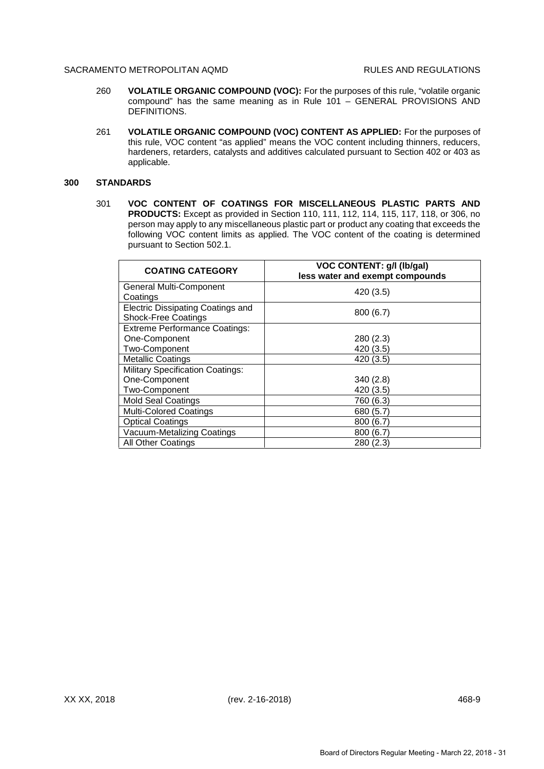- 260 **VOLATILE ORGANIC COMPOUND (VOC):** For the purposes of this rule, "volatile organic compound" has the same meaning as in Rule 101 – GENERAL PROVISIONS AND DEFINITIONS.
- 261 **VOLATILE ORGANIC COMPOUND (VOC) CONTENT AS APPLIED:** For the purposes of this rule, VOC content "as applied" means the VOC content including thinners, reducers, hardeners, retarders, catalysts and additives calculated pursuant to Section 402 or 403 as applicable.

### **300 STANDARDS**

301 **VOC CONTENT OF COATINGS FOR MISCELLANEOUS PLASTIC PARTS AND PRODUCTS:** Except as provided in Section 110, 111, 112, 114, 115, 117, 118, or 306, no person may apply to any miscellaneous plastic part or product any coating that exceeds the following VOC content limits as applied. The VOC content of the coating is determined pursuant to Section 502.1.

| <b>COATING CATEGORY</b>                 | <b>VOC CONTENT: g/l (lb/gal)</b><br>less water and exempt compounds |
|-----------------------------------------|---------------------------------------------------------------------|
| General Multi-Component                 | 420 (3.5)                                                           |
| Coatings                                |                                                                     |
| Electric Dissipating Coatings and       | 800 (6.7)                                                           |
| <b>Shock-Free Coatings</b>              |                                                                     |
| <b>Extreme Performance Coatings:</b>    |                                                                     |
| One-Component                           | 280 (2.3)                                                           |
| Two-Component                           | 420 (3.5)                                                           |
| <b>Metallic Coatings</b>                | 420 (3.5)                                                           |
| <b>Military Specification Coatings:</b> |                                                                     |
| One-Component                           | 340(2.8)                                                            |
| Two-Component                           | 420 (3.5)                                                           |
| <b>Mold Seal Coatings</b>               | 760 (6.3)                                                           |
| <b>Multi-Colored Coatings</b>           | 680 (5.7)                                                           |
| <b>Optical Coatings</b>                 | 800 (6.7)                                                           |
| Vacuum-Metalizing Coatings              | 800(6.7)                                                            |
| <b>All Other Coatings</b>               | 280(2.3)                                                            |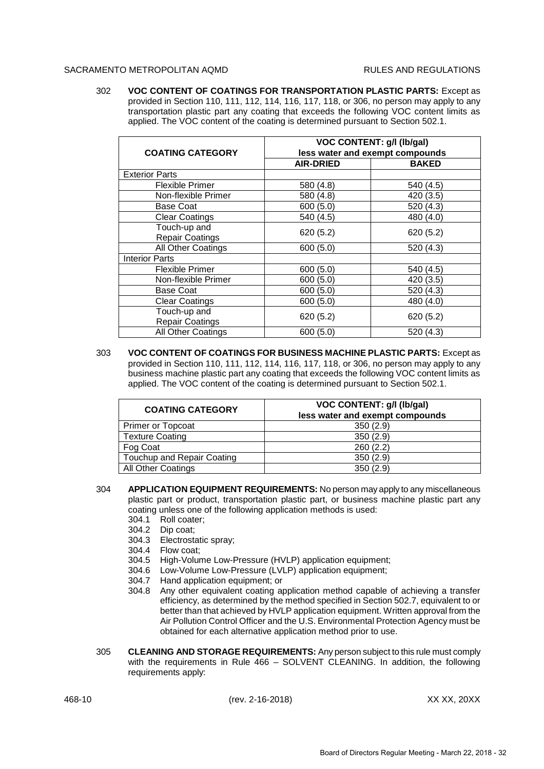302 **VOC CONTENT OF COATINGS FOR TRANSPORTATION PLASTIC PARTS:** Except as provided in Section 110, 111, 112, 114, 116, 117, 118, or 306, no person may apply to any transportation plastic part any coating that exceeds the following VOC content limits as applied. The VOC content of the coating is determined pursuant to Section 502.1.

| <b>COATING CATEGORY</b>                | <b>VOC CONTENT: g/l (lb/gal)</b><br>less water and exempt compounds |              |  |
|----------------------------------------|---------------------------------------------------------------------|--------------|--|
|                                        | <b>AIR-DRIED</b>                                                    | <b>BAKED</b> |  |
| <b>Exterior Parts</b>                  |                                                                     |              |  |
| Flexible Primer                        | 580 (4.8)                                                           | 540 (4.5)    |  |
| Non-flexible Primer                    | 580 (4.8)                                                           | 420 (3.5)    |  |
| <b>Base Coat</b>                       | 600(5.0)                                                            | 520 (4.3)    |  |
| <b>Clear Coatings</b>                  | 540 (4.5)                                                           | 480 (4.0)    |  |
| Touch-up and<br><b>Repair Coatings</b> | 620(5.2)                                                            | 620(5.2)     |  |
| All Other Coatings                     | 600(5.0)                                                            | 520 (4.3)    |  |
| <b>Interior Parts</b>                  |                                                                     |              |  |
| Flexible Primer                        | 600 (5.0)                                                           | 540 (4.5)    |  |
| Non-flexible Primer                    | 600(5.0)                                                            | 420 (3.5)    |  |
| <b>Base Coat</b>                       | 600 (5.0)                                                           | 520 (4.3)    |  |
| <b>Clear Coatings</b>                  | 600 (5.0)                                                           | 480 (4.0)    |  |
| Touch-up and<br><b>Repair Coatings</b> | 620 (5.2)                                                           | 620(5.2)     |  |
| All Other Coatings                     | 600 (5.0)                                                           | 520 (4.3)    |  |

303 **VOC CONTENT OF COATINGS FOR BUSINESS MACHINE PLASTIC PARTS:** Except as provided in Section 110, 111, 112, 114, 116, 117, 118, or 306, no person may apply to any business machine plastic part any coating that exceeds the following VOC content limits as applied. The VOC content of the coating is determined pursuant to Section 502.1.

| <b>COATING CATEGORY</b>    | <b>VOC CONTENT: g/l (lb/gal)</b><br>less water and exempt compounds |
|----------------------------|---------------------------------------------------------------------|
| <b>Primer or Topcoat</b>   | 350(2.9)                                                            |
| <b>Texture Coating</b>     | 350(2.9)                                                            |
| Fog Coat                   | 260(2.2)                                                            |
| Touchup and Repair Coating | 350(2.9)                                                            |
| All Other Coatings         | 350(2.9)                                                            |

- 304 **APPLICATION EQUIPMENT REQUIREMENTS:** No person may apply to any miscellaneous plastic part or product, transportation plastic part, or business machine plastic part any coating unless one of the following application methods is used:
	- 304.1 Roll coater;
	- 304.2 Dip coat;
	- 304.3 Electrostatic spray;
	- 304.4 Flow coat;
	- 304.5 High-Volume Low-Pressure (HVLP) application equipment;
	- 304.6 Low-Volume Low-Pressure (LVLP) application equipment;
	- 304.7 Hand application equipment; or
	- 304.8 Any other equivalent coating application method capable of achieving a transfer efficiency, as determined by the method specified in Section 502.7, equivalent to or better than that achieved by HVLP application equipment. Written approval from the Air Pollution Control Officer and the U.S. Environmental Protection Agency must be obtained for each alternative application method prior to use.
- 305 **CLEANING AND STORAGE REQUIREMENTS:** Any person subject to this rule must comply with the requirements in Rule 466 – SOLVENT CLEANING. In addition, the following requirements apply: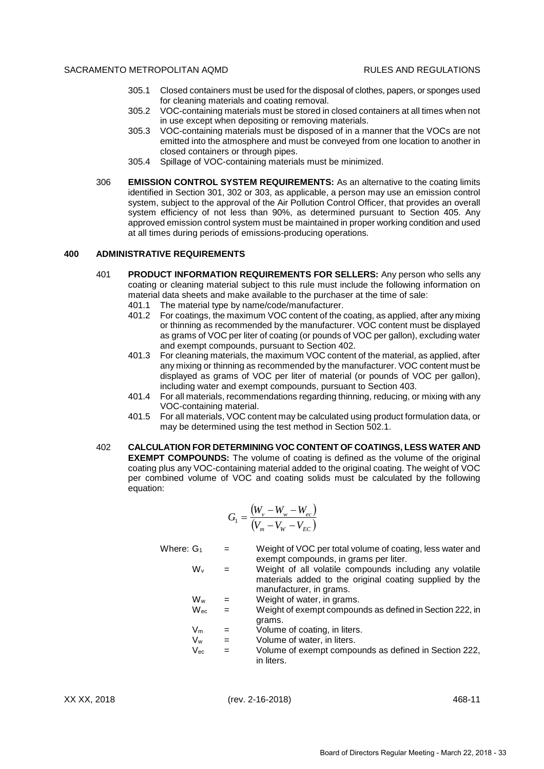- 305.1 Closed containers must be used for the disposal of clothes, papers, or sponges used for cleaning materials and coating removal.
- 305.2 VOC-containing materials must be stored in closed containers at all times when not in use except when depositing or removing materials.
- 305.3 VOC-containing materials must be disposed of in a manner that the VOCs are not emitted into the atmosphere and must be conveyed from one location to another in closed containers or through pipes.
- 305.4 Spillage of VOC-containing materials must be minimized.
- 306 **EMISSION CONTROL SYSTEM REQUIREMENTS:** As an alternative to the coating limits identified in Section 301, 302 or 303, as applicable, a person may use an emission control system, subject to the approval of the Air Pollution Control Officer, that provides an overall system efficiency of not less than 90%, as determined pursuant to Section 405. Any approved emission control system must be maintained in proper working condition and used at all times during periods of emissions-producing operations.

# **400 ADMINISTRATIVE REQUIREMENTS**

- 401 **PRODUCT INFORMATION REQUIREMENTS FOR SELLERS:** Any person who sells any coating or cleaning material subject to this rule must include the following information on material data sheets and make available to the purchaser at the time of sale:
	- 401.1 The material type by name/code/manufacturer.
	- 401.2 For coatings, the maximum VOC content of the coating, as applied, after any mixing or thinning as recommended by the manufacturer. VOC content must be displayed as grams of VOC per liter of coating (or pounds of VOC per gallon), excluding water and exempt compounds, pursuant to Section 402.
	- 401.3 For cleaning materials, the maximum VOC content of the material, as applied, after any mixing or thinning as recommended by the manufacturer. VOC content must be displayed as grams of VOC per liter of material (or pounds of VOC per gallon), including water and exempt compounds, pursuant to Section 403.
	- 401.4 For all materials, recommendations regarding thinning, reducing, or mixing with any VOC-containing material.
	- 401.5 For all materials, VOC content may be calculated using product formulation data, or may be determined using the test method in Section 502.1.
- 402 **CALCULATION FOR DETERMINING VOC CONTENT OF COATINGS, LESS WATER AND EXEMPT COMPOUNDS:** The volume of coating is defined as the volume of the original coating plus any VOC-containing material added to the original coating. The weight of VOC per combined volume of VOC and coating solids must be calculated by the following equation:

$$
G_1 = \frac{(W_v - W_w - W_{ec})}{(V_m - V_w - V_{EC})}
$$

- Where:  $G_1 = W$ eight of VOC per total volume of coating, less water and exempt compounds, in grams per liter.
	- $W_v$  = Weight of all volatile compounds including any volatile materials added to the original coating supplied by the manufacturer, in grams.
	- $W_w$  = Weight of water, in grams.
	- $W_{\text{ec}}$  = Weight of exempt compounds as defined in Section 222, in grams.
	- $V_m$  = Volume of coating, in liters.
	- $V_w$  = Volume of water, in liters.
	- $V_{\text{ec}}$  = Volume of exempt compounds as defined in Section 222, in liters.

XX XX, 2018 (rev. 2-16-2018) 468-11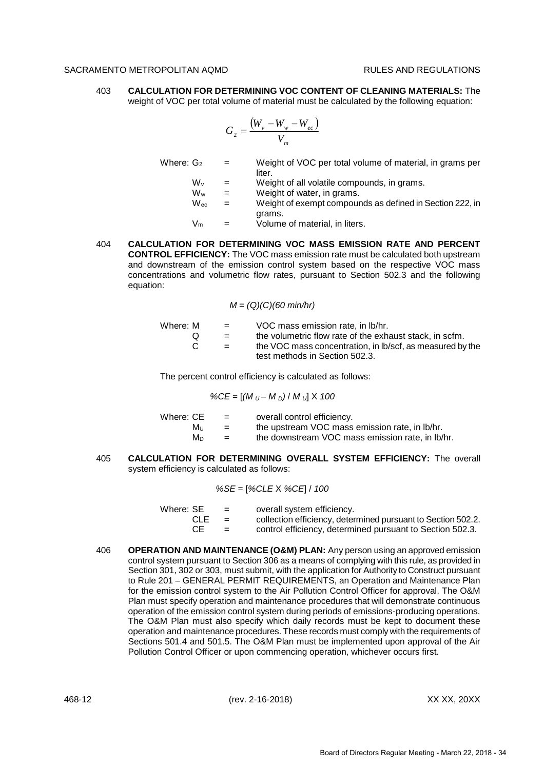403 **CALCULATION FOR DETERMINING VOC CONTENT OF CLEANING MATERIALS:** The weight of VOC per total volume of material must be calculated by the following equation:

$$
G_2 = \frac{(W_v - W_w - W_{ec})}{V_m}
$$

Where:  $G_2 = W$ eight of VOC per total volume of material, in grams per **liter** 

 $W_v$  = Weight of all volatile compounds, in grams.

- $W_w$  = Weight of water, in grams.
- $W_{\text{ec}} = W_{\text{e}}$  = Weight of exempt compounds as defined in Section 222, in grams.

 $V_m$  = Volume of material, in liters.

404 **CALCULATION FOR DETERMINING VOC MASS EMISSION RATE AND PERCENT CONTROL EFFICIENCY:** The VOC mass emission rate must be calculated both upstream and downstream of the emission control system based on the respective VOC mass concentrations and volumetric flow rates, pursuant to Section 502.3 and the following equation:

#### *M* = *(Q)(C)(60 min/hr)*

| Where: M | $=$ $-$ | VOC mass emission rate, in lb/hr.                                                           |
|----------|---------|---------------------------------------------------------------------------------------------|
|          | $=$     | the volumetric flow rate of the exhaust stack, in scfm.                                     |
| C.       | $=$     | the VOC mass concentration, in Ib/scf, as measured by the<br>test methods in Section 502.3. |

The percent control efficiency is calculated as follows:

*%CE* = [*(M <sup>U</sup> – M <sup>D</sup>)* / *M <sup>U</sup>*] X *100*

| Where: CE | $=$ | overall control efficiency.                      |
|-----------|-----|--------------------------------------------------|
| Mu        | $=$ | the upstream VOC mass emission rate, in Ib/hr.   |
| Mn.       | $=$ | the downstream VOC mass emission rate, in lb/hr. |

405 **CALCULATION FOR DETERMINING OVERALL SYSTEM EFFICIENCY:** The overall system efficiency is calculated as follows:

*%SE* = [*%CLE* X *%CE*] / *100*

| Where: SE |            | $=$ | overall system efficiency.                                   |
|-----------|------------|-----|--------------------------------------------------------------|
|           | <b>CLE</b> | $=$ | collection efficiency, determined pursuant to Section 502.2. |
|           | CE         | $=$ | control efficiency, determined pursuant to Section 502.3.    |

406 **OPERATION AND MAINTENANCE (O&M) PLAN:** Any person using an approved emission control system pursuant to Section 306 as a means of complying with this rule, as provided in Section 301, 302 or 303, must submit, with the application for Authority to Construct pursuant to Rule 201 – GENERAL PERMIT REQUIREMENTS, an Operation and Maintenance Plan for the emission control system to the Air Pollution Control Officer for approval. The O&M Plan must specify operation and maintenance procedures that will demonstrate continuous operation of the emission control system during periods of emissions-producing operations. The O&M Plan must also specify which daily records must be kept to document these operation and maintenance procedures. These records must comply with the requirements of Sections 501.4 and 501.5. The O&M Plan must be implemented upon approval of the Air Pollution Control Officer or upon commencing operation, whichever occurs first.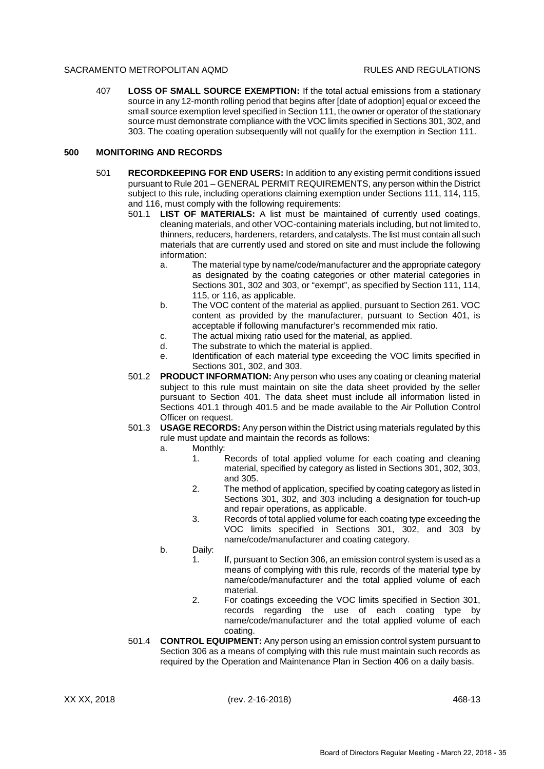407 **LOSS OF SMALL SOURCE EXEMPTION:** If the total actual emissions from a stationary source in any 12-month rolling period that begins after [date of adoption] equal or exceed the small source exemption level specified in Section 111, the owner or operator of the stationary source must demonstrate compliance with the VOC limits specified in Sections 301, 302, and 303. The coating operation subsequently will not qualify for the exemption in Section 111.

## **500 MONITORING AND RECORDS**

- 501 **RECORDKEEPING FOR END USERS:** In addition to any existing permit conditions issued pursuant to Rule 201 – GENERAL PERMIT REQUIREMENTS, any person within the District subject to this rule, including operations claiming exemption under Sections 111, 114, 115, and 116, must comply with the following requirements:
	- 501.1 **LIST OF MATERIALS:** A list must be maintained of currently used coatings, cleaning materials, and other VOC-containing materials including, but not limited to, thinners, reducers, hardeners, retarders, and catalysts. The list must contain all such materials that are currently used and stored on site and must include the following information:
		- a. The material type by name/code/manufacturer and the appropriate category as designated by the coating categories or other material categories in Sections 301, 302 and 303, or "exempt", as specified by Section 111, 114, 115, or 116, as applicable.
		- b. The VOC content of the material as applied, pursuant to Section 261. VOC content as provided by the manufacturer, pursuant to Section 401, is acceptable if following manufacturer's recommended mix ratio.
		- c. The actual mixing ratio used for the material, as applied.
		- d. The substrate to which the material is applied.
		- e. Identification of each material type exceeding the VOC limits specified in Sections 301, 302, and 303.
	- 501.2 **PRODUCT INFORMATION:** Any person who uses any coating or cleaning material subject to this rule must maintain on site the data sheet provided by the seller pursuant to Section 401. The data sheet must include all information listed in Sections 401.1 through 401.5 and be made available to the Air Pollution Control Officer on request.
	- 501.3 **USAGE RECORDS:** Any person within the District using materials regulated by this rule must update and maintain the records as follows:
		- a. Monthly:
			- 1. Records of total applied volume for each coating and cleaning material, specified by category as listed in Sections 301, 302, 303, and 305.
			- 2. The method of application, specified by coating category as listed in Sections 301, 302, and 303 including a designation for touch-up and repair operations, as applicable.
			- 3. Records of total applied volume for each coating type exceeding the VOC limits specified in Sections 301, 302, and 303 by name/code/manufacturer and coating category.
		- b. Daily:
			- 1. If, pursuant to Section 306, an emission control system is used as a means of complying with this rule, records of the material type by name/code/manufacturer and the total applied volume of each material.
			- 2. For coatings exceeding the VOC limits specified in Section 301, records regarding the use of each coating type by name/code/manufacturer and the total applied volume of each coating.
	- 501.4 **CONTROL EQUIPMENT:** Any person using an emission control system pursuant to Section 306 as a means of complying with this rule must maintain such records as required by the Operation and Maintenance Plan in Section 406 on a daily basis.